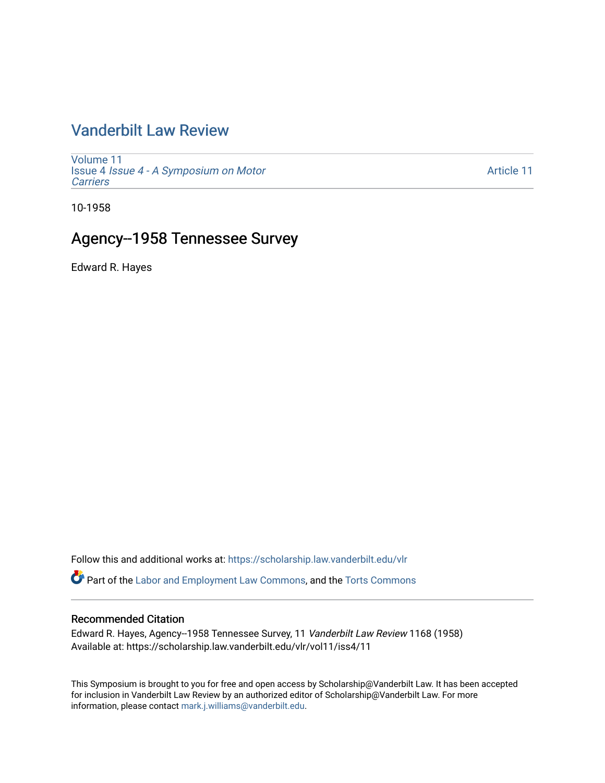# [Vanderbilt Law Review](https://scholarship.law.vanderbilt.edu/vlr)

[Volume 11](https://scholarship.law.vanderbilt.edu/vlr/vol11) Issue 4 [Issue 4 - A Symposium on Motor](https://scholarship.law.vanderbilt.edu/vlr/vol11/iss4) **[Carriers](https://scholarship.law.vanderbilt.edu/vlr/vol11/iss4)** 

[Article 11](https://scholarship.law.vanderbilt.edu/vlr/vol11/iss4/11) 

10-1958

## Agency--1958 Tennessee Survey

Edward R. Hayes

Follow this and additional works at: [https://scholarship.law.vanderbilt.edu/vlr](https://scholarship.law.vanderbilt.edu/vlr?utm_source=scholarship.law.vanderbilt.edu%2Fvlr%2Fvol11%2Fiss4%2F11&utm_medium=PDF&utm_campaign=PDFCoverPages)

Part of the [Labor and Employment Law Commons](http://network.bepress.com/hgg/discipline/909?utm_source=scholarship.law.vanderbilt.edu%2Fvlr%2Fvol11%2Fiss4%2F11&utm_medium=PDF&utm_campaign=PDFCoverPages), and the [Torts Commons](http://network.bepress.com/hgg/discipline/913?utm_source=scholarship.law.vanderbilt.edu%2Fvlr%2Fvol11%2Fiss4%2F11&utm_medium=PDF&utm_campaign=PDFCoverPages)

### Recommended Citation

Edward R. Hayes, Agency--1958 Tennessee Survey, 11 Vanderbilt Law Review 1168 (1958) Available at: https://scholarship.law.vanderbilt.edu/vlr/vol11/iss4/11

This Symposium is brought to you for free and open access by Scholarship@Vanderbilt Law. It has been accepted for inclusion in Vanderbilt Law Review by an authorized editor of Scholarship@Vanderbilt Law. For more information, please contact [mark.j.williams@vanderbilt.edu](mailto:mark.j.williams@vanderbilt.edu).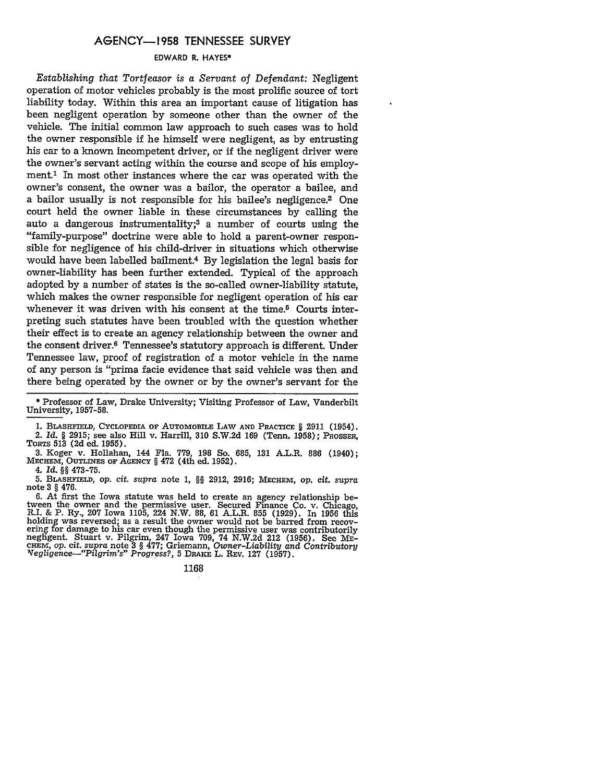### **AGENCY-1958 TENNESSEE** SURVEY

#### EDWARD R. **HAYES\***

*Establishing that Tortfeasor is a Servant of Defendant:* Negligent operation of motor vehicles probably is the most prolific source of tort liability today. Within this area an important cause of litigation has been negligent operation by someone other than the owner of the vehicle. The initial common law approach to such cases was to hold the owner responsible if he himself were negligent, as by entrusting his car to a known incompetent driver, or if the negligent driver were the owner's servant acting within the course and scope of his employment.' In most other instances where the car was operated with the owner's consent, the owner was a bailor, the operator a bailee, and a bailor usually is not responsible for his bailee's negligence.<sup>2</sup> One court held the owner liable in these circumstances by calling the auto a dangerous instrumentality;3 a number of courts using the "family-purpose" doctrine were able to hold a parent-owner responsible for negligence of his child-driver in situations which otherwise would have been labelled bailment.4 By legislation the legal basis for owner-liability has been further extended. Typical of the approach adopted by a number of states is the so-called owner-liability statute, which makes the owner responsible for negligent operation of his car whenever it was driven with his consent at the time.<sup>5</sup> Courts interpreting such statutes have been troubled with the question whether their effect is to create an agency relationship between the owner and the consent driver.6 Tennessee's statutory approach is different. Under Tennessee law, proof of registration of a motor vehicle in the name of any person is "prima facie evidence that said vehicle was then and there being operated by the owner or by the owner's servant for the

4. *Id. §§* **473-75.**

**5. BLAsaFmLn, op.** *cit. supra* note 1, *§§* 2912, **2916; MECHEM, op.** Cit. *supra* note **3** *§* 476.

6. At first the Iowa statute was held to create an agency relationship between the owner and the permissive user. Secured Finance Co. v. Chicago, R.I. & P. Ry., 207 Iowa 1105, 224 N.W. 88, 61 A.L.R. 855 (1929). In 1956 thi holding was reversed; as a result the owner would not be barred from recovering for damage to his car even though the permissive user was contributorily negligent. Stuart v. Pilgrim, 247 Iowa 709, 74 N.W.2d 212 (1956). See ME-**CHEM, op.** cit. *supra* **note 3** *§* **477;** Griemann, *Owner-Liability and Contributory 'Vegligence-"Pilgrim's" Progress?,* 5 **DRAKE** L. REV. **127** (1957).

#### 1168

<sup>\*</sup> Professor of Law, Drake University; Visiting Professor of Law, Vanderbilt University, 1957-58.

**<sup>1.</sup> BLASHFIELD, CYCLOPEDIA OF AUTOMOBILE LAW AND PRACTICE** § 2911 (1954). 2. *Id. §* **2915; see also** Hill **v. Harrill, 310 S.W.2d 169 (Tenn. 1958); PROSSER, TORTS 513 (2d** ed. **1955).**

**<sup>3.</sup>** Koger v. Hollahan, 144 Fla. **779, 198** So. **685, 131** A.L.R. **886** (1940); **MECHEM, OUTLINES OF AGENCY §** 472 (4th ed. **1952).**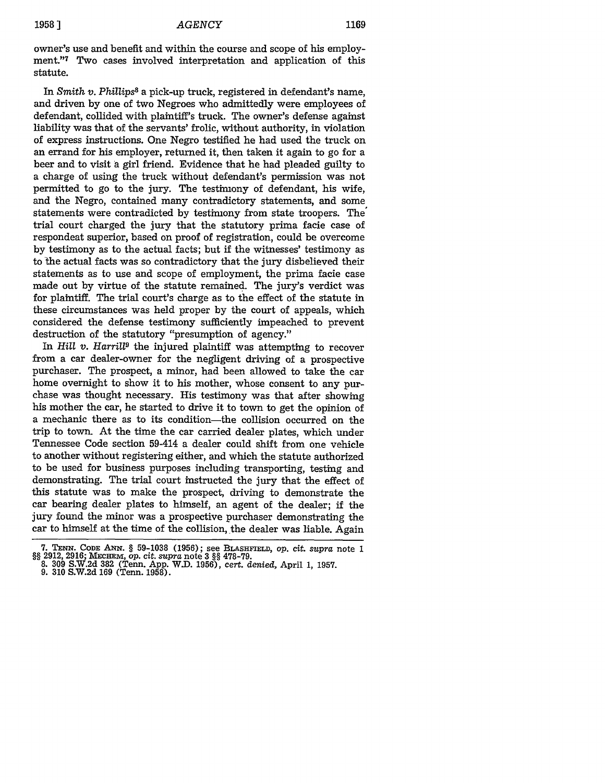owner's use and benefit and within the course and scope of his employment."7 Two cases involved interpretation and application of this statute.

In *Smith v. Phillips8* a pick-up truck, registered in defendant's name, and driven **by** one of two Negroes who admittedly were employees of defendant, collided with plaintiff's truck. The owner's defense against liability was that of the servants' frolic, without authority, in violation of express instructions. One Negro testified he had used the truck on an errand for his employer, returned it, then taken it again to go for a beer and to visit a girl friend. Evidence that he had pleaded guilty to a charge of using the truck without defendant's permission was not permitted to go to the jury. The testimony of defendant, his wife, and the Negro, contained many contradictory statements, and some statements were contradicted **by** testimony from state troopers. The trial court charged the jury that the statutory prima facie case of respondeat superior, based on proof of registration, could be overcome **by** testimony as to the actual facts; but if the witnesses' testimony as to the actual facts was so contradictory that the jury disbelieved their statements as to use and scope of employment, the prima facie case made out **by** virtue of the statute remained. The jury's verdict was for plaintiff. The trial court's charge as to the effect of the statute in these circumstances was held proper **by** the court of appeals, which considered the defense testimony sufficiently impeached to prevent destruction of the statutory "presumption of agency."

In *Hill v. Harril9* the injured plaintiff was attempting to recover from a car dealer-owner for the negligent driving of a prospective purchaser. The prospect, a minor, had been allowed to take the car home overnight to show it to his mother, whose consent to any purchase was thought necessary. His testimony was that after showing his mother the car, he started to drive it to town to get the opinion of a mechanic there as to its condition-the collision occurred on the trip to town. At the time the car carried dealer plates, which under Tennessee Code section 59-414 a dealer could shift from one vehicle to another without registering either, and which the statute authorized to be used for business purposes including transporting, testing and demonstrating. The trial court instructed the jury that the effect of this statute was to make the prospect, driving to demonstrate the car bearing dealer plates to himself, an agent of the dealer; if the jury found the minor was a prospective purchaser demonstrating the car to himself at the time of the collision, the dealer was liable. Again

<sup>7.</sup> **TENN. CODE** AnN. § **59-1038 (1956);** see **BLASHFIELD,** op. cit. *supra* note **1** §§ 2912, 2916; MEcHEm, *op.* cit. *supra* note 3 §§ 478-79.

**<sup>8. 309</sup>** S.W.2d **382** (Tenn. App. W.D. 1956), cert. *denied,* April 1, 1957. 9. **310** S.W.2d 169 (Tenn. 1958).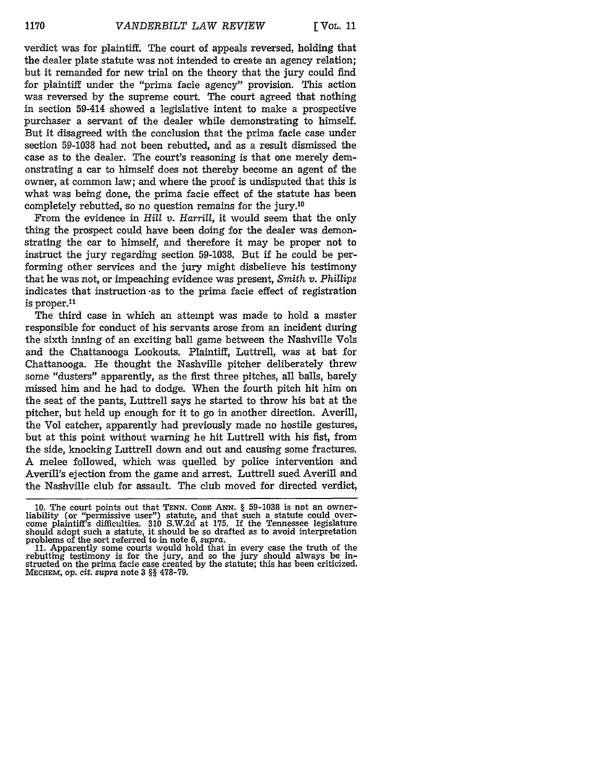verdict was for plaintiff. The court of appeals reversed, holding that the dealer plate statute was not intended to create an agency relation; but it remanded for new trial on the theory that the jury could find for plaintiff under the "prima facie agency" provision. This action was reversed **by** the supreme court. The court agreed that nothing in section 59-414 showed a legislative intent to make a prospective purchaser a servant of the dealer while demonstrating to himself. But it disagreed with the conclusion that the prima facie case under section **59-1038** had not been rebutted, and as a result dismissed the case as to the dealer. The court's reasoning is that one merely demonstrating a car to himself does not thereby become an agent of the owner, at common law; and where the proof is undisputed that this is what was being done, the prima facie effect of the statute has been completely rebutted, so no question remains for the jury.10

From the evidence in *Hill v. Harrill,* it would seem that the only thing the prospect could have been doing for the dealer was demonstrating the car to himself, and therefore it may be proper not to instruct the jury regarding section **59-1038.** But if he could be performing other services and the jury might disbelieve his testimony that he was not, or impeaching evidence was present, *Smith v. Phillips* indicates that instruction -as to the prima facie effect of registration is proper. $11$ 

The third case in which an attempt was made to hold a master responsible for conduct of his servants arose from an incident during the sixth inning of an exciting ball game between the Nashville Vols and the Chattanooga Lookouts. Plaintiff, Luttrell, was at bat for Chattanooga. He thought the Nashville pitcher deliberately threw some "dusters" apparently, as the first three pitches, all balls, barely missed him and he had to dodge. When the fourth pitch hit him on the seat of the pants, Luttrell says he started to throw his bat at the pitcher, but held up enough for it to go in another direction. Averill, the Vol catcher, apparently had previously made no hostile gestures, but at this point without warning he hit Luttrell with his fist, from the side, knocking Luttrell down and out and causing some fractures. A melee followed, which was quelled by police intervention and Averill's ejection from the game and arrest. Luttrell sued Averill and the Nashville club for assault. The club moved for directed verdict,

rebutting testimony is for the jury, and so the jury should always be instructed on the prima facie case created by the statute; this has been criticized. MEcHEm, op. *cit. supra* note 3 §§ **478-79.**

**<sup>10.</sup>** The court points out that **TENN.** *CODE ANN. §* 59-1038 is not an owner-liability (or "permissive user") statute, and that such a statute could overcome plaintiff's difficulties. 310 S.W.2d at 175. If the Tennessee legislature<br>should adopt such a statute, it should be so drafted as to avoid interpretation<br>problems of the sort referred to in note 6, *supra*.<br>11. Appare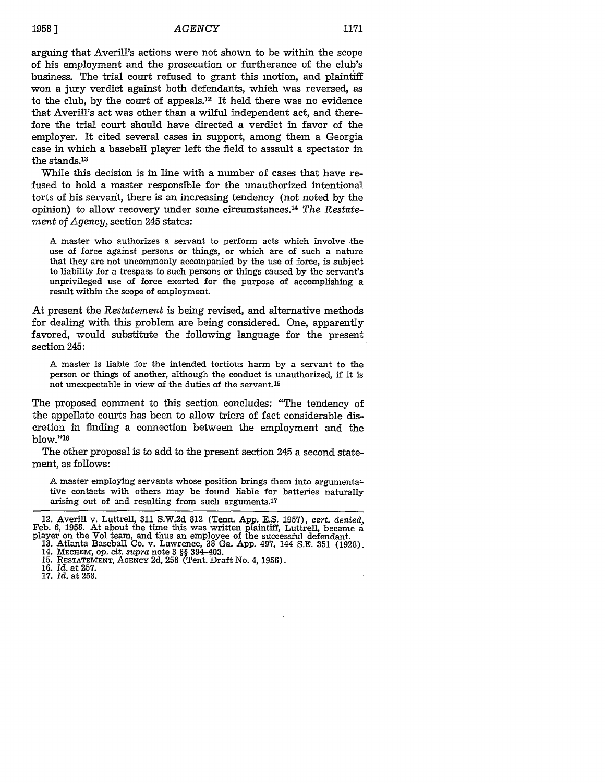#### **19581** *AGENCY* **1171**

arguing that Averill's actions were not shown to be within the scope of his employment and the prosecution or furtherance of the club's business. The trial court refused to grant this motion, and plaintiff won a jury verdict against both defendants, which was reversed, as to the club, by the court of appeals. $12$  It held there was no evidence that Averill's act was other than a wilful independent act, and therefore the trial court should have directed a verdict in favor of the employer. It cited several cases in support, among them a Georgia case in which a baseball player left the field to assault a spectator in the stands.<sup>13</sup>

While this decision is in line with a number of cases that have refused to hold a master responsible for the unauthorized intentional torts of his servant, there is an increasing tendency (not noted by the opinion) to allow recovery under some circumstances. <sup>14</sup>*The Restatement of Agency,* section 245 states:

A master who authorizes a servant to perform acts which involve the use of force against persons or things, or which are of such a nature that they are not uncommonly accompanied by the use of force, is subject to liability for a trespass to such persons or things caused by the servant's unprivileged use of force exerted for the purpose of accomplishing a result within the scope of employment.

At present the *Restatement* is being revised, and alternative methods for dealing with this problem are being considered. One, apparently favored, would substitute the following language for the present section 245:

A master is liable for the intended tortious harm by a servant to the person or things of another, although the conduct is unauthorized, if it is not unexpectable in view of the duties of the servant.15

The proposed comment to this section concludes: "The tendency of the appellate courts has been to allow triers of fact considerable discretion in finding a connection between the employment and the  $blow." <sup>16</sup>$ 

The other proposal is to add to the present section 245 a second statement, as follows:

A master employing servants whose position brings them into argumenta: tive contacts with others may be found hable for batteries naturally arising out of and resulting from such arguments.17

<sup>12.</sup> Averill v. Luttrell, 311 S.W.2d 812 (Tenn. App. E.S. 1957), cert. denied, Feb. 6, 1958. At about the time this was written plaintiff, Luttrell, became a player on the Vol team, and thus an employee of the successful d

**<sup>15.</sup>** RESTATEMENT, **AGENCY** 2d, 256 (Tent. Draft No. 4, 1956).

**<sup>16.</sup>** *Id.* at 257.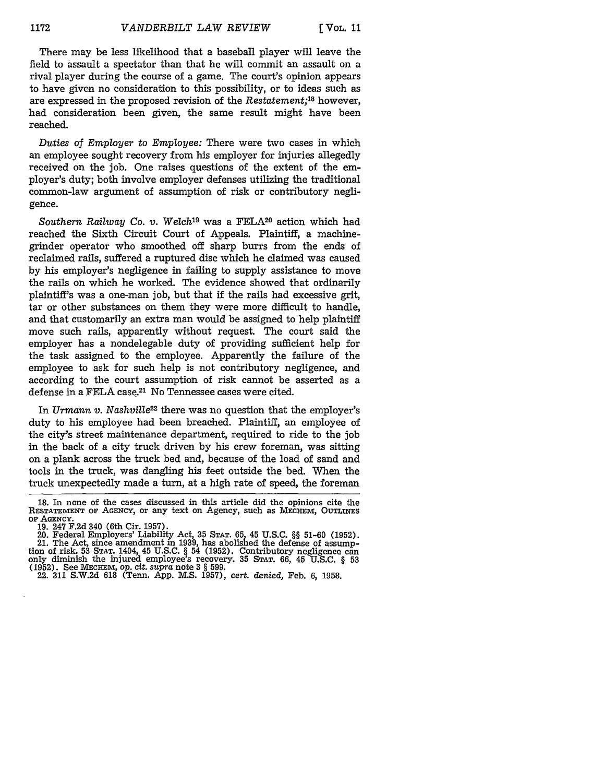There may be less likelihood that a baseball player will leave the field to assault a spectator than that he will commit an assault on a rival player during the course of a game. The court's opinion appears to have given no consideration to this possibility, or to ideas such as are expressed in the proposed revision of the *Restatement;18* however, had consideration been given, the same result might have been reached.

*Duties* of *Employer* to *Employee:* There were two cases in which an employee sought recovery from his employer for injuries allegedly received on the job. One raises questions of the extent of the employer's duty; both involve employer defenses utilizing the traditional common-law argument of assumption of risk or contributory negligence.

*Southern Railway Co. v. Welch19* was a FELA20 action which had reached the Sixth Circuit Court of Appeals. Plaintiff, a machinegrinder operator who smoothed off sharp burrs from the ends of reclaimed rails, suffered a ruptured disc which he claimed was caused by his employer's negligence in failing to supply assistance to move the rails on which he worked. The evidence showed that ordinarily plaintiff's was a one-man job, but that if the rails had excessive grit, tar or other substances on them they were more difficult to handle, and that customarily an extra man would be assigned to help plaintiff move such rails, apparently without request. The court said the employer has a nondelegable duty of providing sufficient help for the task assigned to the employee. Apparently the failure of the employee to ask for such help is not contributory negligence, and according to the court assumption of risk cannot be asserted as a defense in a FELA case.<sup>21</sup> No Tennessee cases were cited.

In *Urmann v. Nashville<sup>22</sup>* there was no question that the employer's duty to his employee had been breached. Plaintiff, an employee of the city's street maintenance department, required to ride to the job in the back of a city truck driven by his crew foreman, was sitting on a plank across the truck bed and, because of the load of sand and tools in the truck, was dangling his feet outside the bed. When the truck unexpectedly made a turn, at a high rate of speed, the foreman

**<sup>18.</sup>** In none of the cases discussed in this article did the opinions cite the RESTATEMENT OF AGENCY, or any text on Agency, such as MECHEM, OUTLINES of AGENCY.<br>19. 247 F.2d 340 (6th Cir. 1957).

<sup>19. 247</sup> F.2d 340 (6th Cir. 1957). 20. Federal Employers' Liability Act, 35 **STAT.** 65, 45 U.S.C. §§ 51-60 (1952). 21. The Act, since amendment in 1939, has abolished the defense of assumption of risk. 53 **STAT.** 1404, 45 U.S.C. § 54 (1952). Contributory negligence can only diminish the injured employee's recovery. **35 STAT.** 66, 45 U.S.C. § 53 (1952). See MECHEM, op. cit. *supra* note 3 § 599.

<sup>22. 311</sup> S.W.2d 618 (Tenn. App. M.S. 1957), cert. denied, Feb. 6, 1958.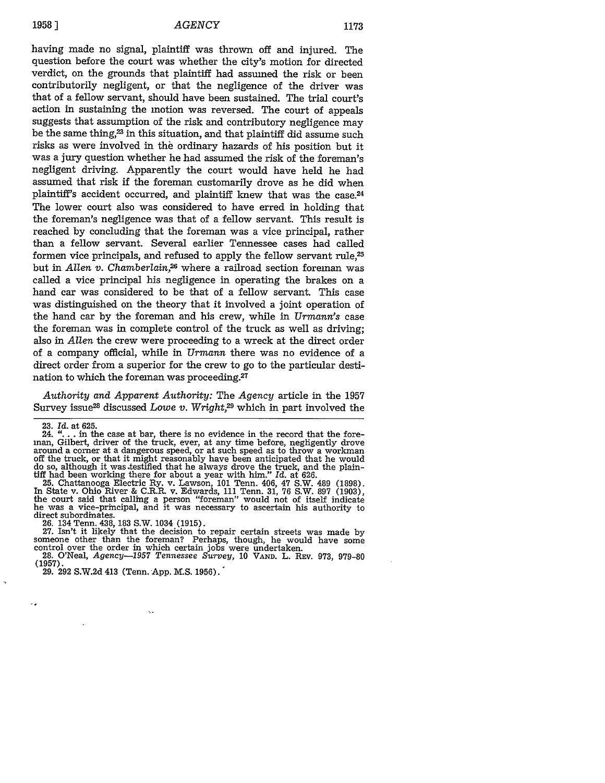having made no signal, plaintiff was thrown off and injured. The question before the court was whether the city's motion for directed verdict, on the grounds that plaintiff had assumed the risk or been contributorily negligent, or that the negligence of the driver was that of a fellow servant, should have been sustained. The trial court's action in sustaining the motion was reversed. The court of appeals suggests that assumption of the risk and contributory negligence may be the same thing, $23$  in this situation, and that plaintiff did assume such risks as were involved in the ordinary hazards of his position but it was a jury question whether he had assumed the risk of the foreman's negligent driving. Apparently the court would have held he had assumed that risk **if** the foreman customarily drove as he did when plaintiff's accident occurred, and plaintiff knew that was the case.24 The lower court also was considered to have erred in holding that the foreman's negligence was that of a fellow servant. This result is reached by concluding that the foreman was a vice principal, rather than a fellow servant. Several earlier Tennessee cases had called formen vice principals, and refused to apply the fellow servant rule,25 but in *Allen v. Chamberlain*,<sup>26</sup> where a railroad section foreman was called a vice principal his negligence in operating the brakes on a hand car was considered to be that of a fellow servant. This case was distinguished on the theory that it involved a joint operation of the hand car by the foreman and his crew, while in *Urmann's* case the foreman was in complete control of the truck as well as driving; also in *Allen* the crew were proceeding to a wreck at the direct order of a company official, while in *Urmann* there was no evidence of a direct order from a superior for the crew to go to the particular destination to which the foreman was proceeding.<sup>27</sup>

*Authority and Apparent Authority:* The *Agency* article in the 1957 Survey issue<sup>28</sup> discussed *Lowe v. Wright*<sup>29</sup> which in part involved the

v.

25. Chattanooga Electric Ry. v. Lawson, **101** Tenn. 406, 47 S.W. 489 (1898). In State v. Ohio River & C.R.R. v. Edwards, 111 Tenn. 31, 76 S.W. **897** (1903), the court said that calling a person "foreman" would not of itself indicate he was a vice-principal, and it was necessary to ascertain his authority to direct subordinates.

26. 134 Tenn. 438, 183 S.W. 1034 (1915).<br>27. Isn't it likely that the decision to repair certain streets was made by<br>27. Isn't it likely that the decision to repair certain streets was made by<br>37. Isn't it likely that the 28. O'Neal, *Agency-1957 Tennessee Survey,* <sup>10</sup>**VAND.** L. REV. 973, 979-80

(1957).

29. 292 S.W.2d 413 (Tenn. App. M.S. 1956).

k.

<sup>23.</sup> *Id.* at 625.

<sup>24.</sup> **"....** in the case at bar, there is no evidence in the record that the foreman, Gilbert, driver of the truck, ever, at any time before, negligently drove around a comer at a dangerous speed, or at such speed as to throw a workman off the truck, or that it might reasonably have been anticipated that he would do so, although it was .testified that he always drove the truck, and the plain- tiff had been working there for about a year with him." Id. at 626.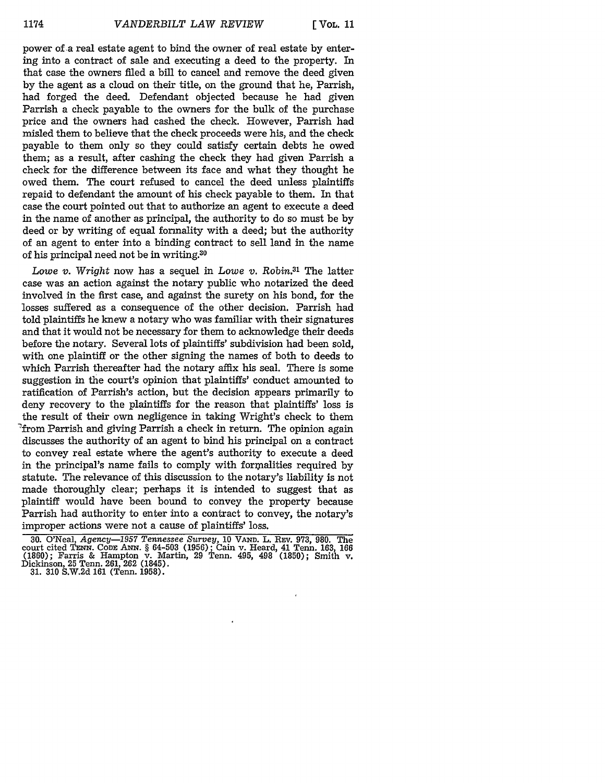power of a real estate agent to bind the owner of real estate by entering into a contract of sale and executing a deed to the property. In that case the owners ified a bill to cancel and remove the deed given by the agent as a cloud on their title, on the ground that he, Parrish, had forged the deed. Defendant objected because he had given Parrish a check payable to the owners for the bulk of the purchase price and the owners had cashed the check. However, Parrish had misled them to believe that the check proceeds were his, and the check payable to them only so they could satisfy certain debts he owed them; as a result, after cashing the check they had given Parrish a check for the difference between its face and what they thought he owed them. The court refused to cancel the deed unless plaintiffs repaid to defendant the amount of his check payable to them. In that case the court pointed out that to authorize an agent to execute a deed in the name of another as principal, the authority to do so must be by deed or by writing of equal formality with a deed; but the authority of an agent to enter into a binding contract to sell land in the name of his principal need not be in writing.30

*Lowe v. Wright* now has a sequel in Lowe *v.* Robin.31 The latter case was an action against the notary public who notarized the deed involved in the first case, and against the surety on his bond, for the losses suffered as a consequence of the other decision. Parrish had told plaintiffs he knew a notary who was familiar with their signatures and that it would not be necessary for them to acknowledge their deeds before the notary. Several lots of plaintiffs' subdivision had been sold, with one plaintiff or the other signing the names of both to deeds to which Parrish thereafter had the notary affix his seal. There is some suggestion in the court's opinion that plaintiffs' conduct amounted to ratification of Parrish's action, but the decision appears primarily to deny recovery to the plaintiffs for the reason that plaintiffs' loss is the result of their own negligence in taking Wright's check to them 'from Parrish and giving Parrish a check in return. The opinion again discusses the authority of an agent to bind his principal on a contract to convey real estate where the agent's authority to execute a deed in the principal's name fails to comply with formalities required by statute. The relevance of this discussion to the notary's liability is not made thoroughly clear; perhaps it is intended to suggest that as plaintiff would have been bound to convey the property because Parrish had authority to enter into a contract to convey, the notary's improper actions were not a cause of plaintiffs' loss.

**<sup>30.</sup>** O'Neal, *Agency-1957 Tennessee Survey,* **10** VA **D. L. REV.** 973, 980. The court cited **TENN. CODE ANN.** § 64-503 (1956); Cain v. Heard, 41 Tenn. 163, 166 (1860); Farris & Hampton v. Martin, 29 Tenn. 495, 498 (1850); Smith v. Dickinson, 25 Tenn. 261, 262 (1845). 31. 310 S.W.2d 161 (Tenn. 1958).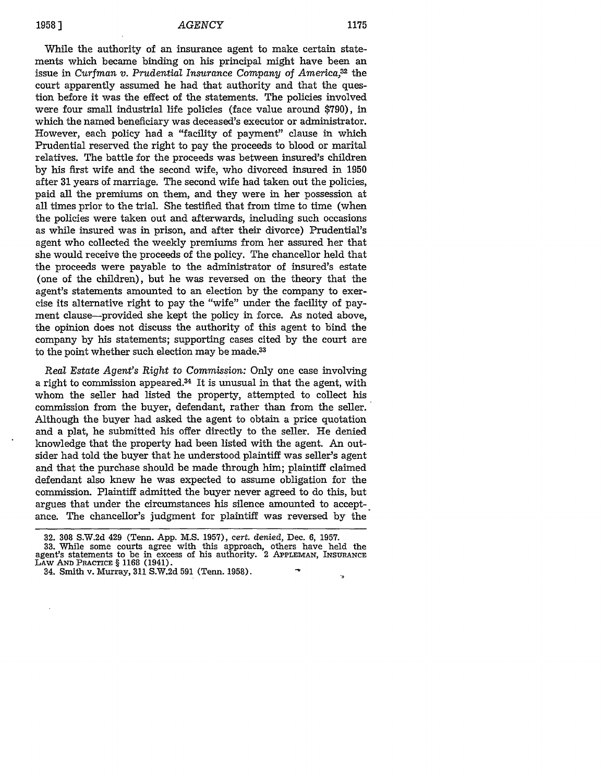٠,

While the authority of an insurance agent to make certain statements which became binding on his principal might have been an issue in *Curfman v. Prudential Insurance Company of America,\$2* the court apparently assumed he had that authority and that the question before it was the effect of the statements. The policies involved were four small industrial life policies (face value around \$790), in which the named beneficiary was deceased's executor or administrator. However, each policy had a "facility of payment" clause in which Prudential reserved the right to pay the proceeds to blood or marital relatives. The battle for the proceeds was between insured's children by his first wife and the second wife, who divorced insured in 1950 after 31 years of marriage. The second wife had taken out the policies, paid all the premiums on them, and they were in her possession at all times prior to the trial. She testified that from time to time (when the policies were taken out and afterwards, including such occasions as while insured was in prison, and after their divorce) Prudential's agent who collected the weekly premiums from her assured her that she would receive the proceeds of the policy. The chancellor held that the proceeds were payable to the administrator of insured's estate (one of the children), but he was reversed on the theory that the agent's statements amounted to an election by the company to exercise its alternative right to pay the "wife" under the facility of payment clause-provided she kept the policy in force. As noted above, the opinion does not discuss the authority of this agent to bind the company by his statements; supporting cases cited by the court are to the point whether such election may be made.<sup>33</sup>

*Real* Estate *Agent's Right to Commission:* Only one case involving a right to commission appeared.34 It is unusual in that the agent, with whom the seller had listed the property, attempted to collect his commission from the buyer, defendant, rather than from the seller. Although the buyer had asked the agent to obtain a price quotation and a plat, he submitted his offer directly to the seller. He denied knowledge that the property had been listed with the agent. An outsider had told the buyer that he understood plaintiff was seller's agent and that the purchase should be made through him; plaintiff claimed defendant also knew he was expected to assume obligation for the commission. Plaintiff admitted the buyer never agreed to do this, but argues that under the circumstances his silence amounted to accept-. ance. The chancellor's judgment for plaintiff was reversed by the

34. Smith v. Murray, **311** S.W.2d **591** (Tenn. 1958).

**<sup>32. 308</sup>** S.W.2d 429 (Tenn. App. M.S. 1957), *cert.* denied, Dec. 6, 1957.

**<sup>33.</sup>** While some courts agree with this approach, others have held the agent's statements to be in excess of his authority. 2 **APPLEMAN, INSURANCE LAW AND** PRACTICE § **1168** (1941).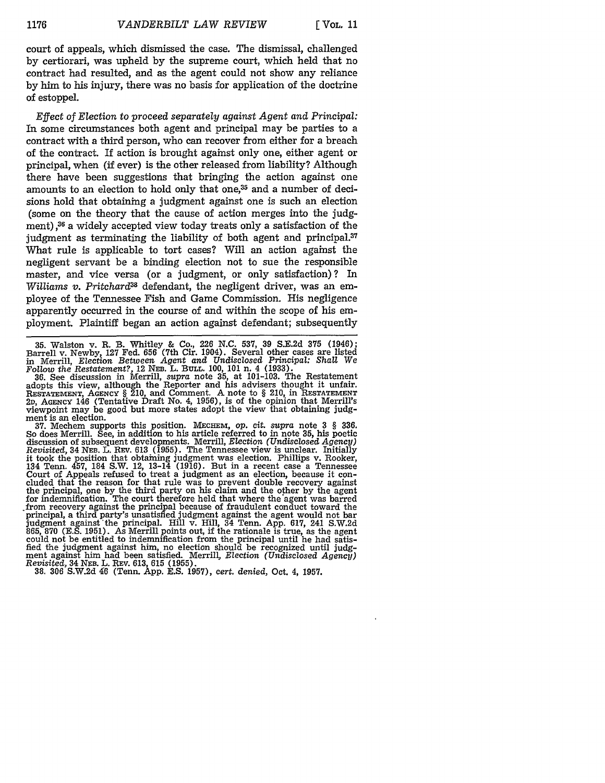court of appeals, which dismissed the case. The dismissal, challenged **by** certiorari, was upheld **by** the supreme court, which held that no contract had resulted, and as the agent could not show any reliance **by** him to his injury, there was no basis for application of the doctrine of estoppel.

*Effect of Election to proceed separately against Agent and Principal:* **In** some circumstances both agent and principal may be parties to a contract with a third person, who can recover from either for a breach of the contract. If action is brought against only one, either agent or principal, when **(if** ever) is the other released from liability? Although there have been suggestions that bringing the action against one amounts to an election to hold only that one,<sup>35</sup> and a number of decisions hold that obtaining a judgment against one is such an election (some on the theory that the cause of action merges into the judgment),<sup>36</sup> a widely accepted view today treats only a satisfaction of the judgment as terminating the liability of both agent and principal. $37$ What rule is applicable to tort cases? Will an action against the negligent servant be a binding election not to sue the responsible master, and vice versa (or a judgment, or only satisfaction)? In *Williams v. Pritchard3s* defendant, the negligent driver, was an employee of the Tennessee Fish and Game Commission. His negligence apparently occurred in the course of and within the scope of his employment. Plaintiff began an action against defendant; subsequently

35. Walston v. R. B. Whitley & Co., 226 N.C. 537, 39 S.E.2d 375 (1946);<br>Barrell v. Newby, 127 Fed. 656 (7th Cir. 1904). Several other cases are listed<br>in Merrill, Election Between Agent and Undisclosed Principal: Shall We

*Follow the Restatement?,* 12 **NEB.** L. **BULL.** 100, 101 n. 4 (1933). **36.** See discussion in Merrill, *supra* note 35, at 101-103. The Restatement adopts this view, although the Reporter and his advisers thought it unfair. **RESTATEMENT, AGENCY** § 210, and Comment. A note to § 210, in **RESTATEMENT 2D,** AGENCY 146 (Tentative Draft No. 4, **1956),** is of the opinion that Merrill's viewpoint may be good but more states adopt the view that obtaining **judg**ment is an election.

**37.** Mechem supports this position. **MECHEm,** op. *cit. supra* note **3** § **336.** So does Merrill. See, in addition to his article referred to in note **35,** his poetic discussion of subsequent developments. Merrill, *Election (Undisclosed Agency) Revisited,* 34 **NEB.** L. REv. **613 (1955).** The Tennessee view is unclear. Initially it took the position that obtaining judgment was election. Phillips v. Rooker, 134 Tenn. 457, 184 S.W. 12, 13-14 (1916). But in a recent case a Tennessee<br>Court of Appeals refused to treat a judgment as an election, because it concluded that the reason for that rule was to prevent double recovery agai the principal, one **by** the third party on his claim and the other **by** the agent for indemnification. The court therefore held that where the agent was barred from recovery against the principal because of fraudulent conduct toward the principal, a third party's unsatisfied judgment against the agent would not bar<br>judgment against the principal. Hill v. Hill, 34 Tenn. App. 617, 241 S.W.2d<br>865, 870 (E.S. 1951). As Merrill points out, if the rationale is t could not be entitled to indemnification from the principal until he had satisfied the judgment against him, no election should be recognized until **judg**ment against him had been satisfied. Merrill, *Election (Undisclosed Agency) Revisited,* 34 **NEB.** L. REV. **613, 615 (1955). 38. 306** S.W.2d 46 (Tenn. App. E.S. 1957), *cert. denied,* Oct. 4, **1957.**